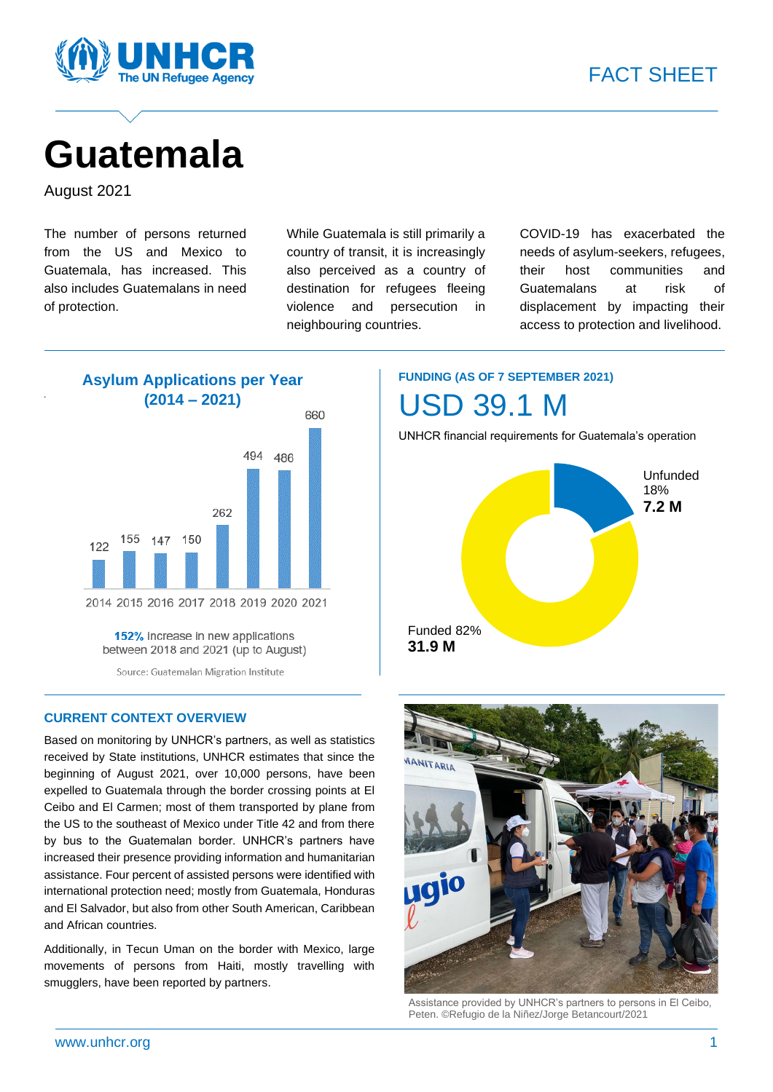

# **Guatemala**

August 2021

*.*

The number of persons returned from the US and Mexico to Guatemala, has increased. This also includes Guatemalans in need of protection.

While Guatemala is still primarily a country of transit, it is increasingly also perceived as a country of destination for refugees fleeing violence and persecution in neighbouring countries.

COVID-19 has exacerbated the needs of asylum-seekers, refugees, their host communities and Guatemalans at risk of displacement by impacting their access to protection and livelihood.



152% increase in new applications between 2018 and 2021 (up to August)

Source: Guatemalan Migration Institute

#### **CURRENT CONTEXT OVERVIEW**

Based on monitoring by UNHCR's partners, as well as statistics received by State institutions, UNHCR estimates that since the beginning of August 2021, over 10,000 persons, have been expelled to Guatemala through the border crossing points at El Ceibo and El Carmen; most of them transported by plane from the US to the southeast of Mexico under Title 42 and from there by bus to the Guatemalan border. UNHCR's partners have increased their presence providing information and humanitarian assistance. Four percent of assisted persons were identified with international protection need; mostly from Guatemala, Honduras and El Salvador, but also from other South American, Caribbean and African countries.

Additionally, in Tecun Uman on the border with Mexico, large movements of persons from Haiti, mostly travelling with smugglers, have been reported by partners.

# **FUNDING (AS OF 7 SEPTEMBER 2021)** USD 39.1 M

UNHCR financial requirements for Guatemala's operation





Assistance provided by UNHCR's partners to persons in El Ceibo, Peten. ©Refugio de la Niñez/Jorge Betancourt/2021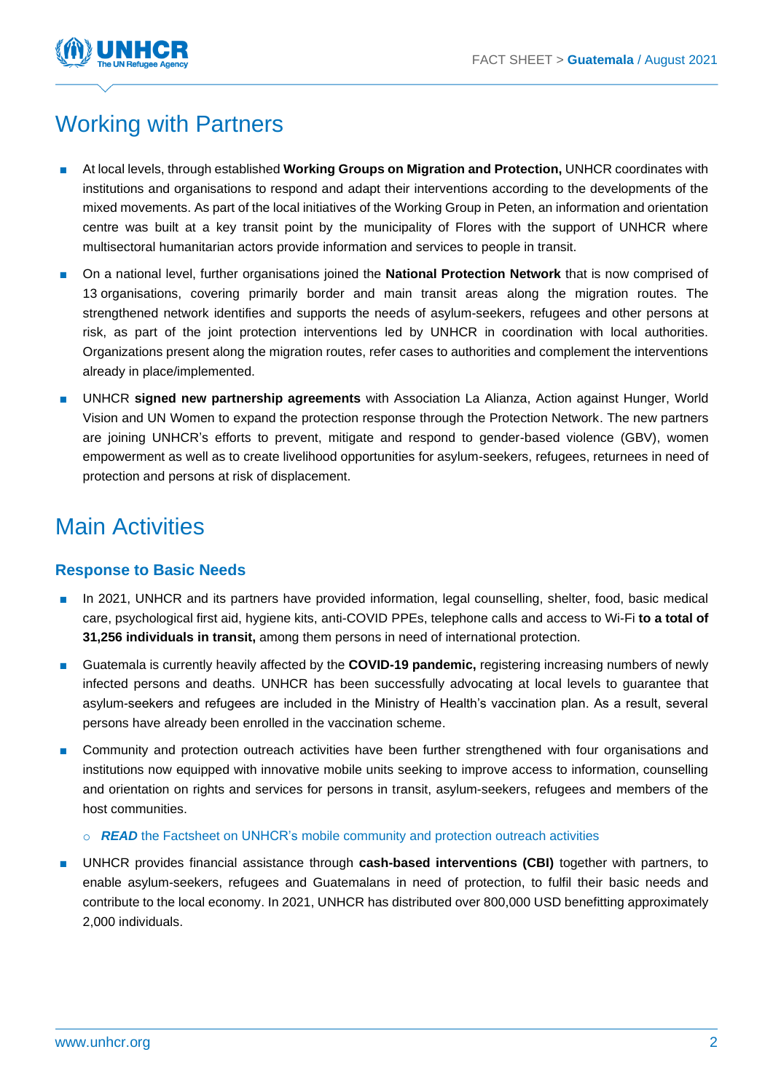

# Working with Partners

- At local levels, through established **Working Groups on Migration and Protection**, UNHCR coordinates with institutions and organisations to respond and adapt their interventions according to the developments of the mixed movements. As part of the local initiatives of the Working Group in Peten, an information and orientation centre was built at a key transit point by the municipality of Flores with the support of UNHCR where multisectoral humanitarian actors provide information and services to people in transit.
- On a national level, further organisations joined the **National Protection Network** that is now comprised of 13 organisations, covering primarily border and main transit areas along the migration routes. The strengthened network identifies and supports the needs of asylum-seekers, refugees and other persons at risk, as part of the joint protection interventions led by UNHCR in coordination with local authorities. Organizations present along the migration routes, refer cases to authorities and complement the interventions already in place/implemented.
- UNHCR signed new partnership agreements with Association La Alianza, Action against Hunger, World Vision and UN Women to expand the protection response through the Protection Network. The new partners are joining UNHCR's efforts to prevent, mitigate and respond to gender-based violence (GBV), women empowerment as well as to create livelihood opportunities for asylum-seekers, refugees, returnees in need of protection and persons at risk of displacement.

# Main Activities

### **Response to Basic Needs**

- In 2021, UNHCR and its partners have provided information, legal counselling, shelter, food, basic medical care, psychological first aid, hygiene kits, anti-COVID PPEs, telephone calls and access to Wi-Fi **to a total of 31,256 individuals in transit,** among them persons in need of international protection.
- Guatemala is currently heavily affected by the **COVID-19 pandemic**, registering increasing numbers of newly infected persons and deaths. UNHCR has been successfully advocating at local levels to guarantee that asylum-seekers and refugees are included in the Ministry of Health's vaccination plan. As a result, several persons have already been enrolled in the vaccination scheme.
- Community and protection outreach activities have been further strengthened with four organisations and institutions now equipped with innovative mobile units seeking to improve access to information, counselling and orientation on rights and services for persons in transit, asylum-seekers, refugees and members of the host communities.
	- o *READ* [the Factsheet on UNHCR's mobile community and protection outreach activities](https://reporting.unhcr.org/sites/default/files/Guatemala-Factsheet%20Mobile%20Community%20and%20Protection%20Outreach%20Activities.pdf)
- UNHCR provides financial assistance through **cash-based interventions (CBI)** together with partners, to enable asylum-seekers, refugees and Guatemalans in need of protection, to fulfil their basic needs and contribute to the local economy. In 2021, UNHCR has distributed over 800,000 USD benefitting approximately 2,000 individuals.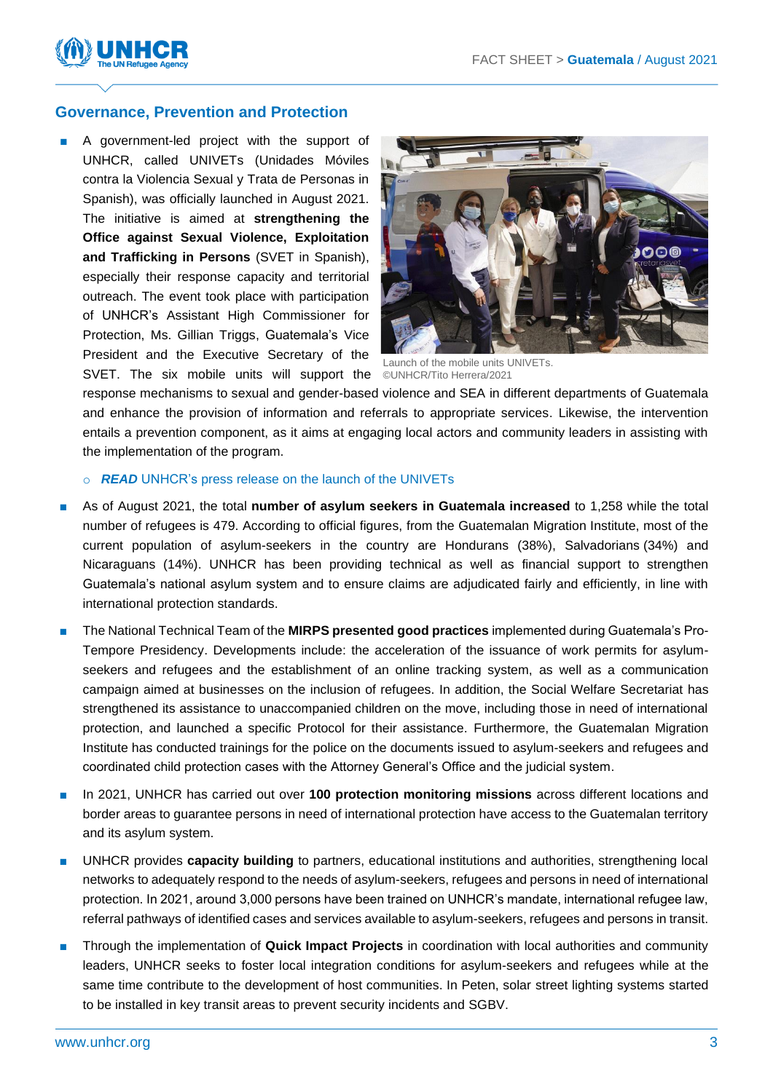

#### **Governance, Prevention and Protection**

A government-led project with the support of UNHCR, called UNIVETs (Unidades Móviles contra la Violencia Sexual y Trata de Personas in Spanish), was officially launched in August 2021. The initiative is aimed at **strengthening the Office against Sexual Violence, Exploitation and Trafficking in Persons** (SVET in Spanish), especially their response capacity and territorial outreach. The event took place with participation of UNHCR's Assistant High Commissioner for Protection, Ms. Gillian Triggs, Guatemala's Vice President and the Executive Secretary of the SVET. The six mobile units will support the ©UNHCR/Tito Herrera/2021



Launch of the mobile units UNIVETs.

response mechanisms to sexual and gender-based violence and SEA in different departments of Guatemala and enhance the provision of information and referrals to appropriate services. Likewise, the intervention entails a prevention component, as it aims at engaging local actors and community leaders in assisting with the implementation of the program.

#### o *READ* UNHCR's [press release on the launch of the UNIVETs](https://www.acnur.org/noticias/press/2021/8/612930484/guatemala-con-unidades-moviles-se-busca-prevenir-la-violencia-sexual-explotacion.html)

- As of August 2021, the total **number of asylum seekers in Guatemala increased** to 1,258 while the total number of refugees is 479. According to official figures, from the Guatemalan Migration Institute, most of the current population of asylum-seekers in the country are Hondurans (38%), Salvadorians (34%) and Nicaraguans (14%). UNHCR has been providing technical as well as financial support to strengthen Guatemala's national asylum system and to ensure claims are adjudicated fairly and efficiently, in line with international protection standards.
- The National Technical Team of the **MIRPS presented good practices** implemented during Guatemala's Pro-Tempore Presidency. Developments include: the acceleration of the issuance of work permits for asylumseekers and refugees and the establishment of an online tracking system, as well as a communication campaign aimed at businesses on the inclusion of refugees. In addition, the Social Welfare Secretariat has strengthened its assistance to unaccompanied children on the move, including those in need of international protection, and launched a specific Protocol for their assistance. Furthermore, the Guatemalan Migration Institute has conducted trainings for the police on the documents issued to asylum-seekers and refugees and coordinated child protection cases with the Attorney General's Office and the judicial system.
- In 2021, UNHCR has carried out over **100 protection monitoring missions** across different locations and border areas to guarantee persons in need of international protection have access to the Guatemalan territory and its asylum system.
- UNHCR provides **capacity building** to partners, educational institutions and authorities, strengthening local networks to adequately respond to the needs of asylum-seekers, refugees and persons in need of international protection. In 2021, around 3,000 persons have been trained on UNHCR's mandate, international refugee law, referral pathways of identified cases and services available to asylum-seekers, refugees and persons in transit.
- Through the implementation of **Quick Impact Projects** in coordination with local authorities and community leaders, UNHCR seeks to foster local integration conditions for asylum-seekers and refugees while at the same time contribute to the development of host communities. In Peten, solar street lighting systems started to be installed in key transit areas to prevent security incidents and SGBV.